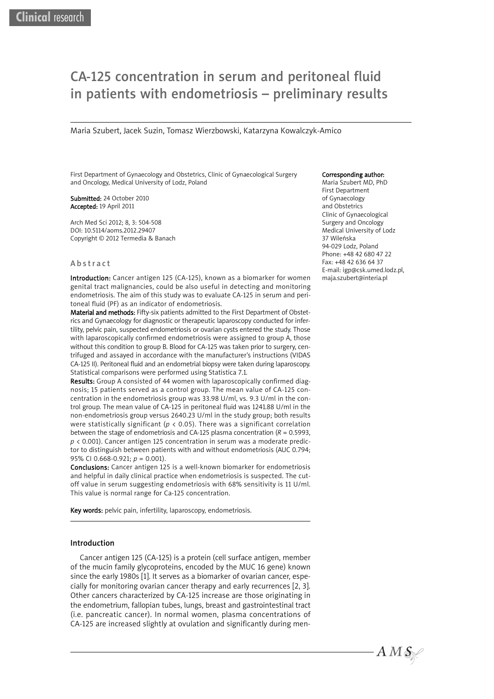# CA-125 concentration in serum and peritoneal fluid in patients with endometriosis – preliminary results

Maria Szubert, Jacek Suzin, Tomasz Wierzbowski, Katarzyna Kowalczyk-Amico

First Department of Gynaecology and Obstetrics, Clinic of Gynaecological Surgery and Oncology, Medical University of Lodz, Poland

Submitted: 24 October 2010 Accepted: 19 April 2011

Arch Med Sci 2012; 8, 3: 504-508 DOI: 10.5114/aoms.2012.29407 Copyright © 2012 Termedia & Banach

#### Abstract

Introduction: Cancer antigen 125 (CA-125), known as a biomarker for women genital tract malignancies, could be also useful in detecting and monitoring endometriosis. The aim of this study was to evaluate CA-125 in serum and peritoneal fluid (PF) as an indicator of endometriosis.

Material and methods: Fifty-six patients admitted to the First Department of Obstetrics and Gynaecology for diagnostic or therapeutic laparoscopy conducted for infertility, pelvic pain, suspected endometriosis or ovarian cysts entered the study. Those with laparoscopically confirmed endometriosis were assigned to group A, those without this condition to group B. Blood for CA-125 was taken prior to surgery, centrifuged and assayed in accordance with the manufacturer's instructions (VIDAS CA-125 II). Peritoneal fluid and an endometrial biopsy were taken during laparoscopy. Statistical comparisons were performed using Statistica 7.1.

Results: Group A consisted of 44 women with laparoscopically confirmed diagnosis; 15 patients served as a control group. The mean value of CA-125 concentration in the endometriosis group was 33.98 U/ml, vs. 9.3 U/ml in the control group. The mean value of CA-125 in peritoneal fluid was 1241.88 U/ml in the non-endometriosis group versus 2640.23 U/ml in the study group; both results were statistically significant (*p* < 0.05). There was a significant correlation between the stage of endometriosis and CA-125 plasma concentration (*R* = 0.5993, *p* < 0.001). Cancer antigen 125 concentration in serum was a moderate predictor to distinguish between patients with and without endometriosis (AUC 0.794; 95% CI 0.668-0.921; *p* = 0.001).

Conclusions: Cancer antigen 125 is a well-known biomarker for endometriosis and helpful in daily clinical practice when endometriosis is suspected. The cutoff value in serum suggesting endometriosis with 68% sensitivity is 11 U/ml. This value is normal range for Ca-125 concentration.

Key words: pelvic pain, infertility, laparoscopy, endometriosis.

## Introduction

Cancer antigen 125 (CA-125) is a protein (cell surface antigen, member of the mucin family glycoproteins, encoded by the MUC 16 gene) known since the early 1980s [1]. It serves as a biomarker of ovarian cancer, especially for monitoring ovarian cancer therapy and early recurrences [2, 3]. Other cancers characterized by CA-125 increase are those originating in the endometrium, fallopian tubes, lungs, breast and gastrointestinal tract (i.e. pancreatic cancer). In normal women, plasma concentrations of CA-125 are increased slightly at ovulation and significantly during men-

#### Corresponding author:

Maria Szubert MD, PhD First Department of Gynaecology and Obstetrics Clinic of Gynaecological Surgery and Oncology Medical University of Lodz 37 Wileńska 94-029 Lodz, Poland Phone: +48 42 680 47 22 Fax: +48 42 636 64 37 E-mail: igp@csk.umed.lodz.pl, maja.szubert@interia.pl

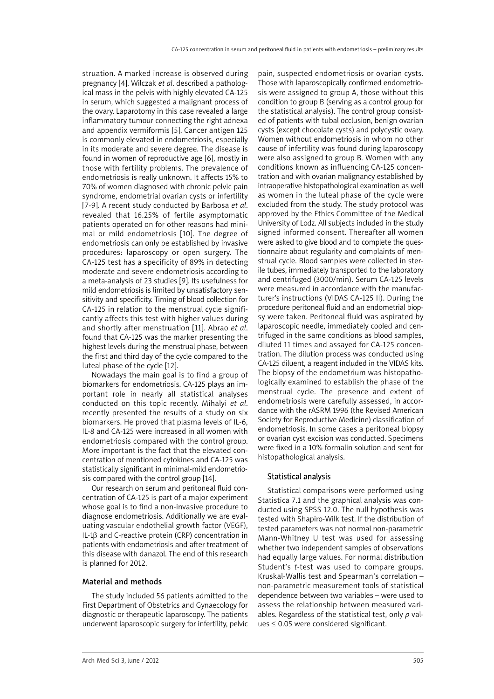struation. A marked increase is observed during pregnancy [4]. Wilczak *et al*. described a pathological mass in the pelvis with highly elevated CA-125 in serum, which suggested a malignant process of the ovary. Laparotomy in this case revealed a large inflammatory tumour connecting the right adnexa and appendix vermiformis [5]. Cancer antigen 125 is commonly elevated in endometriosis, especially in its moderate and severe degree. The disease is found in women of reproductive age [6], mostly in those with fertility problems. The prevalence of endometriosis is really unknown. It affects 15% to 70% of women diagnosed with chronic pelvic pain syndrome, endometrial ovarian cysts or infertility [7-9]. A recent study conducted by Barbosa *et al*. revealed that 16.25% of fertile asymptomatic patients operated on for other reasons had minimal or mild endometriosis [10]. The degree of endometriosis can only be established by invasive procedures: laparoscopy or open surgery. The CA-125 test has a specificity of 89% in detecting moderate and severe endometriosis according to a meta-analysis of 23 studies [9]. Its usefulness for mild endometriosis is limited by unsatisfactory sensitivity and specificity. Timing of blood collection for CA-125 in relation to the menstrual cycle significantly affects this test with higher values during and shortly after menstruation [11]. Abrao *et al*. found that CA-125 was the marker presenting the highest levels during the menstrual phase, between the first and third day of the cycle compared to the luteal phase of the cycle [12].

Nowadays the main goal is to find a group of biomarkers for endometriosis. CA-125 plays an important role in nearly all statistical analyses conducted on this topic recently. Mihalyi *et al*. recently presented the results of a study on six biomarkers. He proved that plasma levels of IL-6, IL-8 and CA-125 were increased in all women with endometriosis compared with the control group. More important is the fact that the elevated concentration of mentioned cytokines and CA-125 was statistically significant in minimal-mild endometriosis compared with the control group [14].

Our research on serum and peritoneal fluid concentration of CA-125 is part of a major experiment whose goal is to find a non-invasive procedure to diagnose endometriosis. Additionally we are evaluating vascular endothelial growth factor (VEGF), IL-1β and C-reactive protein (CRP) concentration in patients with endometriosis and after treatment of this disease with danazol. The end of this research is planned for 2012.

# Material and methods

The study included 56 patients admitted to the First Department of Obstetrics and Gynaecology for diagnostic or therapeutic laparoscopy. The patients underwent laparoscopic surgery for infertility, pelvic

pain, suspected endometriosis or ovarian cysts. Those with laparoscopically confirmed endometriosis were assigned to group A, those without this condition to group B (serving as a control group for the statistical analysis). The control group consisted of patients with tubal occlusion, benign ovarian cysts (except chocolate cysts) and polycystic ovary. Women without endometriosis in whom no other cause of infertility was found during laparoscopy were also assigned to group B. Women with any conditions known as influencing CA-125 concentration and with ovarian malignancy established by intraoperative histopathological examination as well as women in the luteal phase of the cycle were excluded from the study. The study protocol was approved by the Ethics Committee of the Medical University of Lodz. All subjects included in the study signed informed consent. Thereafter all women were asked to give blood and to complete the questionnaire about regularity and complaints of menstrual cycle. Blood samples were collected in sterile tubes, immediately transported to the laboratory and centrifuged (3000/min). Serum CA-125 levels were measured in accordance with the manufacturer's instructions (VIDAS CA-125 II). During the procedure peritoneal fluid and an endometrial biopsy were taken. Peritoneal fluid was aspirated by laparoscopic needle, immediately cooled and centrifuged in the same conditions as blood samples, diluted 11 times and assayed for CA-125 concentration. The dilution process was conducted using CA-125 diluent, a reagent included in the VIDAS kits. The biopsy of the endometrium was histopathologically examined to establish the phase of the menstrual cycle. The presence and extent of endometriosis were carefully assessed, in accordance with the rASRM 1996 (the Revised American Society for Reproductive Medicine) classification of endometriosis. In some cases a peritoneal biopsy or ovarian cyst excision was conducted. Specimens were fixed in a 10% formalin solution and sent for histopathological analysis.

# Statistical analysis

Statistical comparisons were performed using Statistica 7.1 and the graphical analysis was conducted using SPSS 12.0. The null hypothesis was tested with Shapiro-Wilk test. If the distribution of tested parameters was not normal non-parametric Mann-Whitney U test was used for assessing whether two independent samples of observations had equally large values. For normal distribution Student's *t*-test was used to compare groups. Kruskal-Wallis test and Spearman's correlation – non-parametric measurement tools of statistical dependence between two variables – were used to assess the relationship between measured variables. Regardless of the statistical test, only *p* values ≤ 0.05 were considered significant.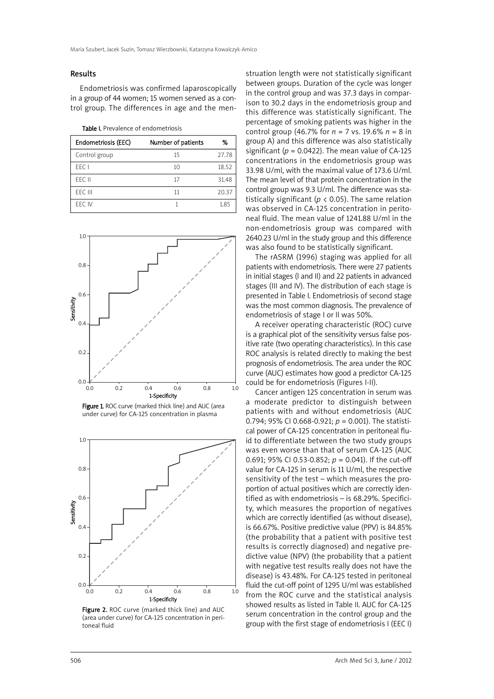#### Results

Endometriosis was confirmed laparoscopically in a group of 44 women; 15 women served as a control group. The differences in age and the men-

Table I. Prevalence of endometriosis

| Endometriosis (EEC) | Number of patients | %     |
|---------------------|--------------------|-------|
| Control group       | 15                 | 27.78 |
| FFC I               | 10                 | 18.52 |
| FFC II              | 17                 | 31.48 |
| FFC III             | 11                 | 20.37 |
| FFC IV              |                    | 1.85  |







Figure 2. ROC curve (marked thick line) and AUC (area under curve) for CA-125 concentration in peritoneal fluid

struation length were not statistically significant between groups. Duration of the cycle was longer in the control group and was 37.3 days in comparison to 30.2 days in the endometriosis group and this difference was statistically significant. The percentage of smoking patients was higher in the control group (46.7% for *n* = 7 vs. 19.6% *n* = 8 in group A) and this difference was also statistically significant ( $p = 0.0422$ ). The mean value of CA-125 concentrations in the endometriosis group was 33.98 U/ml, with the maximal value of 173.6 U/ml. The mean level of that protein concentration in the control group was 9.3 U/ml. The difference was statistically significant ( $p < 0.05$ ). The same relation was observed in CA-125 concentration in peritoneal fluid. The mean value of 1241.88 U/ml in the non-endo metriosis group was compared with 2640.23 U/ml in the study group and this difference was also found to be statistically significant.

The rASRM (1996) staging was applied for all patients with endometriosis. There were 27 patients in initial stages (I and II) and 22 patients in advanced stages (III and IV). The distribution of each stage is presented in Table I. Endometriosis of second stage was the most common diagnosis. The prevalence of endometriosis of stage I or II was 50%.

A receiver operating characteristic (ROC) curve is a graphical plot of the sensitivity versus false positive rate (two operating characteristics). In this case ROC analysis is related directly to making the best prognosis of endometriosis. The area under the ROC curve (AUC) estimates how good a predictor CA-125 could be for endometriosis (Figures I-II).

Cancer antigen 125 concentration in serum was a moderate predictor to distinguish between patients with and without endometriosis (AUC 0.794; 95% CI 0.668-0.921; *p* = 0.001). The statistical power of CA-125 concentration in peritoneal fluid to differentiate between the two study groups was even worse than that of serum CA-125 (AUC 0.691; 95% CI 0.53-0.852; *p* = 0.041). If the cut-off value for CA-125 in serum is 11 U/ml, the respective sensitivity of the test – which measures the proportion of actual positives which are correctly identified as with endometriosis – is 68.29%. Specificity, which measures the proportion of negatives which are correctly identified (as without disease), is 66.67%. Positive predictive value (PPV) is 84.85% (the probability that a patient with positive test results is correctly diagnosed) and negative predictive value (NPV) (the probability that a patient with negative test results really does not have the disease) is 43.48%. For CA-125 tested in peritoneal fluid the cut-off point of 1295 U/ml was established from the ROC curve and the statistical analysis showed results as listed in Table II. AUC for CA-125 serum concentration in the control group and the group with the first stage of endometriosis I (EEC I)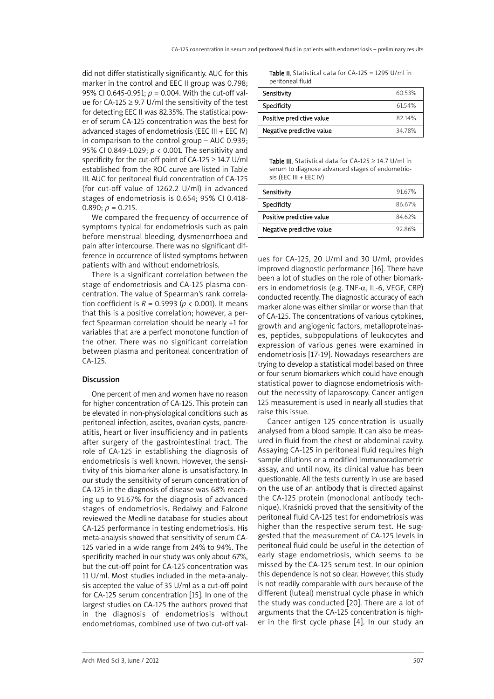did not differ statistically significantly. AUC for this marker in the control and EEC II group was 0.798; 95% CI 0.645-0.951; *p* = 0.004. With the cut-off value for CA-125  $\geq$  9.7 U/ml the sensitivity of the test for detecting EEC II was 82.35%. The statistical power of serum CA-125 concentration was the best for advanced stages of endometriosis (EEC III + EEC IV) in comparison to the control group – AUC 0.939; 95% CI 0.849-1.029; *p* < 0.001. The sensitivity and specificity for the cut-off point of CA-125  $\geq$  14.7 U/ml established from the ROC curve are listed in Table III. AUC for peritoneal fluid concentration of CA-125 (for cut-off value of 1262.2 U/ml) in advanced stages of endometriosis is 0.654; 95% CI 0.418-  $0.890: p = 0.215.$ 

We compared the frequency of occurrence of symptoms typical for endometriosis such as pain before menstrual bleeding, dysmenorrhoea and pain after intercourse. There was no significant difference in occurrence of listed symptoms between patients with and without endometriosis.

There is a significant correlation between the stage of endometriosis and CA-125 plasma concentration. The value of Spearman's rank correlation coefficient is  $R = 0.5993$  ( $p < 0.001$ ). It means that this is a positive correlation; however, a perfect Spearman correlation should be nearly +1 for variables that are a perfect monotone function of the other. There was no significant correlation between plasma and peritoneal concentration of CA-125.

## Discussion

One percent of men and women have no reason for higher concentration of CA-125. This protein can be elevated in non-physiological conditions such as peritoneal infection, ascites, ovarian cysts, pancreatitis, heart or liver insufficiency and in patients after surgery of the gastrointestinal tract. The role of CA-125 in establishing the diagnosis of endometriosis is well known. However, the sensitivity of this biomarker alone is unsatisfactory. In our study the sensitivity of serum concentration of CA-125 in the diagnosis of disease was 68% reaching up to 91.67% for the diagnosis of advanced stages of endometriosis. Bedaiwy and Falcone reviewed the Medline database for studies about CA-125 performance in testing endometriosis. His meta-analysis showed that sensitivity of serum CA-125 varied in a wide range from 24% to 94%. The specificity reached in our study was only about 67%, but the cut-off point for CA-125 concentration was 11 U/ml. Most studies included in the meta-analysis accepted the value of 35 U/ml as a cut-off point for CA-125 serum concentration [15]. In one of the largest studies on CA-125 the authors proved that in the diagnosis of endometriosis without endometriomas, combined use of two cut-off val-

Table II. Statistical data for CA-125 = 1295 U/ml in peritoneal fluid

| Sensitivity               | 60 53% |
|---------------------------|--------|
| Specificity               | 61.54% |
| Positive predictive value | 82 14% |
| Negative predictive value | 34.78% |

Table III. Statistical data for CA-125  $\geq$  14.7 U/ml in serum to diagnose advanced stages of endometrio $sis$  (EEC III + EEC IV)

| Sensitivity               | 9167%  |
|---------------------------|--------|
| Specificity               | 86.67% |
| Positive predictive value | 84 62% |
| Negative predictive value | 9286%  |

ues for CA-125, 20 U/ml and 30 U/ml, provides improved diagnostic performance [16]. There have been a lot of studies on the role of other biomarkers in endometriosis (e.g. TNF-α, IL-6, VEGF, CRP) conducted recently. The diagnostic accuracy of each marker alone was either similar or worse than that of CA-125. The concentrations of various cytokines, growth and angiogenic factors, metalloproteinases, peptides, subpopulations of leukocytes and expression of various genes were examined in endometriosis [17-19]. Nowadays researchers are trying to develop a statistical model based on three or four serum biomarkers which could have enough statistical power to diagnose endometriosis without the necessity of laparoscopy. Cancer antigen 125 measurement is used in nearly all studies that raise this issue.

Cancer antigen 125 concentration is usually analysed from a blood sample. It can also be measured in fluid from the chest or abdominal cavity. Assaying CA-125 in peritoneal fluid requires high sample dilutions or a modified immunoradiometric assay, and until now, its clinical value has been questionable. All the tests currently in use are based on the use of an antibody that is directed against the CA-125 protein (monoclonal antibody technique). Kraśnicki proved that the sensitivity of the peritoneal fluid CA-125 test for endometriosis was higher than the respective serum test. He suggested that the measurement of CA-125 levels in peritoneal fluid could be useful in the detection of early stage endometriosis, which seems to be missed by the CA-125 serum test. In our opinion this dependence is not so clear. However, this study is not readily comparable with ours because of the different (luteal) menstrual cycle phase in which the study was conducted [20]. There are a lot of arguments that the CA-125 concentration is higher in the first cycle phase [4]. In our study an